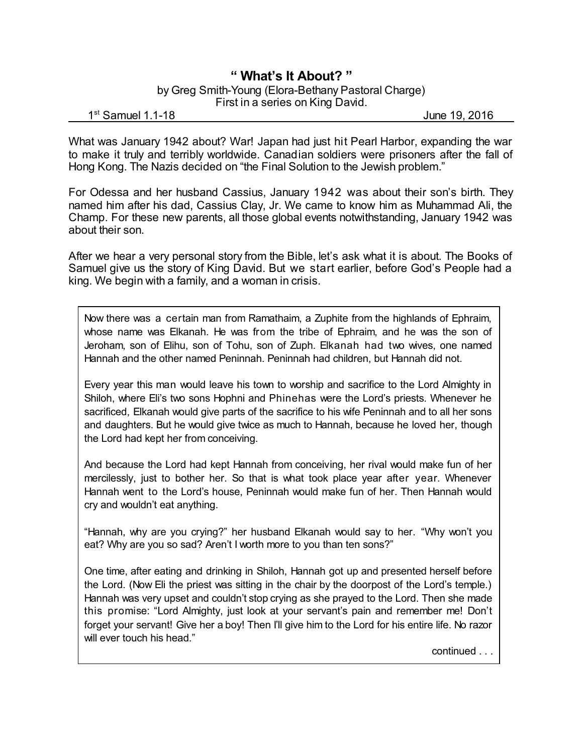## **" What's It About? "**

## by Greg Smith-Young (Elora-Bethany Pastoral Charge) First in a series on King David.

1<sup>st</sup> Samuel 1.1-18 June 19, 2016

What was January 1942 about? War! Japan had just hit Pearl Harbor, expanding the war to make it truly and terribly worldwide. Canadian soldiers were prisoners after the fall of Hong Kong. The Nazis decided on "the Final Solution to the Jewish problem."

For Odessa and her husband Cassius, January 1942 was about their son's birth. They named him after his dad, Cassius Clay, Jr. We came to know him as Muhammad Ali, the Champ. For these new parents, all those global events notwithstanding, January 1942 was about their son.

After we hear a very personal story from the Bible, let's ask what it is about. The Books of Samuel give us the story of King David. But we start earlier, before God's People had a king. We begin with a family, and a woman in crisis.

Now there was a certain man from Ramathaim, a Zuphite from the highlands of Ephraim, whose name was Elkanah. He was from the tribe of Ephraim, and he was the son of Jeroham, son of Elihu, son of Tohu, son of Zuph. Elkanah had two wives, one named Hannah and the other named Peninnah. Peninnah had children, but Hannah did not.

Every year this man would leave his town to worship and sacrifice to the Lord Almighty in Shiloh, where Eli's two sons Hophni and Phinehas were the Lord's priests. Whenever he sacrificed, Elkanah would give parts of the sacrifice to his wife Peninnah and to all her sons and daughters. But he would give twice as much to Hannah, because he loved her, though the Lord had kept her from conceiving.

And because the Lord had kept Hannah from conceiving, her rival would make fun of her mercilessly, just to bother her. So that is what took place year after year. Whenever Hannah went to the Lord's house, Peninnah would make fun of her. Then Hannah would cry and wouldn't eat anything.

"Hannah, why are you crying?" her husband Elkanah would say to her. "Why won't you eat? Why are you so sad? Aren't I worth more to you than ten sons?"

One time, after eating and drinking in Shiloh, Hannah got up and presented herself before the Lord. (Now Eli the priest was sitting in the chair by the doorpost of the Lord's temple.) Hannah was very upset and couldn't stop crying as she prayed to the Lord. Then she made this promise: "Lord Almighty, just look at your servant's pain and remember me! Don't forget your servant! Give her a boy! Then I'll give him to the Lord for his entire life. No razor will ever touch his head."

continued . . .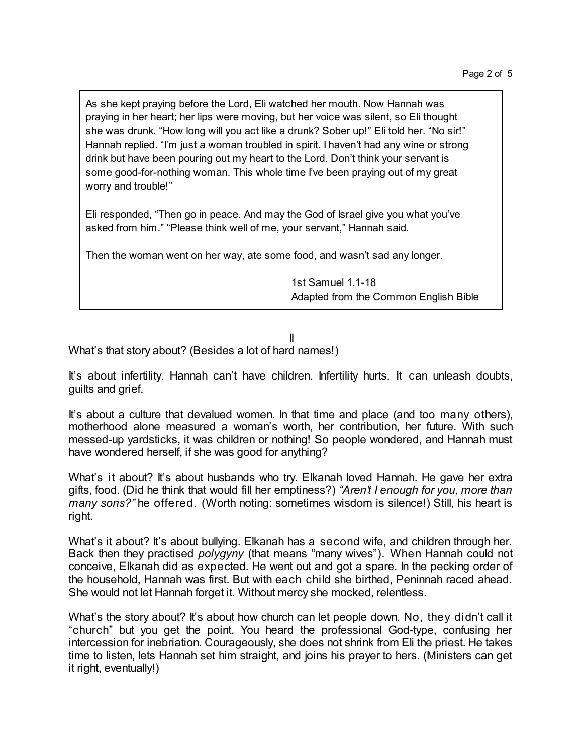As she kept praying before the Lord, Eli watched her mouth. Now Hannah was praying in her heart; her lips were moving, but her voice was silent, so Eli thought she was drunk. "How long will you act like a drunk? Sober up!" Eli told her. "No sir!" Hannah replied. "I'm just a woman troubled in spirit. I haven't had any wine or strong drink but have been pouring out my heart to the Lord. Don't think your servant is some good-for-nothing woman. This whole time I've been praying out of my great worry and trouble!"

Eli responded, "Then go in peace. And may the God of Israel give you what you've asked from him." "Please think well of me, your servant," Hannah said.

Then the woman went on her way, ate some food, and wasn't sad any longer.

1st Samuel 1.1-18 Adapted from the Common English Bible

## II

What's that story about? (Besides a lot of hard names!)

It's about infertility. Hannah can't have children. Infertility hurts. It can unleash doubts, guilts and grief.

It's about a culture that devalued women. In that time and place (and too many others), motherhood alone measured a woman's worth, her contribution, her future. With such messed-up yardsticks, it was children or nothing! So people wondered, and Hannah must have wondered herself, if she was good for anything?

What's it about? It's about husbands who try. Elkanah loved Hannah. He gave her extra gifts, food. (Did he think that would fill her emptiness?) *"Aren't I enough for you, more than many sons?"* he offered. (Worth noting: sometimes wisdom is silence!) Still, his heart is right.

What's it about? It's about bullying. Elkanah has a second wife, and children through her. Back then they practised *polygyny* (that means "many wives"). When Hannah could not conceive, Elkanah did as expected. He went out and got a spare. In the pecking order of the household, Hannah was first. But with each child she birthed, Peninnah raced ahead. She would not let Hannah forget it. Without mercy she mocked, relentless.

What's the story about? It's about how church can let people down. No, they didn't call it "church" but you get the point. You heard the professional God-type, confusing her intercession for inebriation. Courageously, she does not shrink from Eli the priest. He takes time to listen, lets Hannah set him straight, and joins his prayer to hers. (Ministers can get it right, eventually!)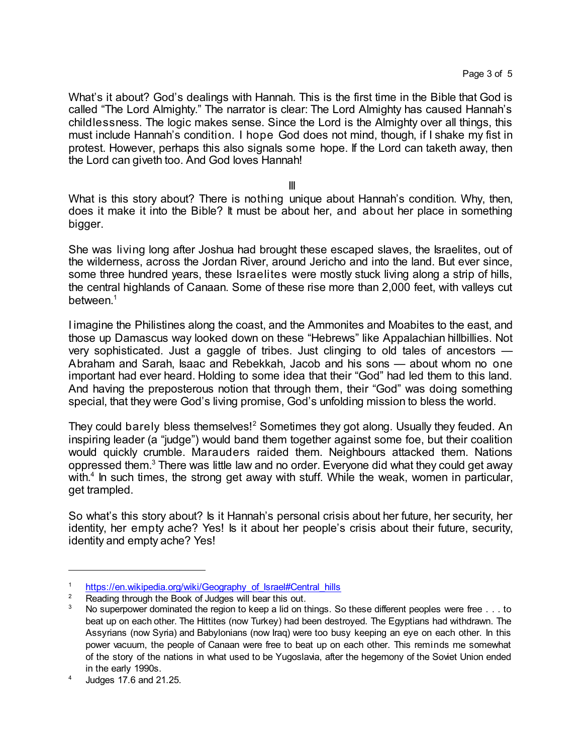What's it about? God's dealings with Hannah. This is the first time in the Bible that God is called "The Lord Almighty." The narrator is clear: The Lord Almighty has caused Hannah's childlessness. The logic makes sense. Since the Lord is the Almighty over all things, this must include Hannah's condition. I hope God does not mind, though, if I shake my fist in protest. However, perhaps this also signals some hope. If the Lord can taketh away, then the Lord can giveth too. And God loves Hannah!

III

What is this story about? There is nothing unique about Hannah's condition. Why, then, does it make it into the Bible? It must be about her, and about her place in something bigger.

She was living long after Joshua had brought these escaped slaves, the Israelites, out of the wilderness, across the Jordan River, around Jericho and into the land. But ever since, some three hundred years, these Israelites were mostly stuck living along a strip of hills, the central highlands of Canaan. Some of these rise more than 2,000 feet, with valleys cut between. 1

I imagine the Philistines along the coast, and the Ammonites and Moabites to the east, and those up Damascus way looked down on these "Hebrews" like Appalachian hillbillies. Not very sophisticated. Just a gaggle of tribes. Just clinging to old tales of ancestors — Abraham and Sarah, Isaac and Rebekkah, Jacob and his sons — about whom no one important had ever heard. Holding to some idea that their "God" had led them to this land. And having the preposterous notion that through them, their "God" was doing something special, that they were God's living promise, God's unfolding mission to bless the world.

They could barely bless themselves!<sup>2</sup> Sometimes they got along. Usually they feuded. An inspiring leader (a "judge") would band them together against some foe, but their coalition would quickly crumble. Marauders raided them. Neighbours attacked them. Nations oppressed them. <sup>3</sup> There was little law and no order. Everyone did what they could get away with.<sup>4</sup> In such times, the strong get away with stuff. While the weak, women in particular, get trampled.

So what's this story about? Is it Hannah's personal crisis about her future, her security, her identity, her empty ache? Yes! Is it about her people's crisis about their future, security, identity and empty ache? Yes!

<sup>1</sup> [https://en.wikipedia.org/wiki/Geography\\_of\\_Israel#Central\\_hills](https://en.wikipedia.org/wiki/Geography_of_Israel#Central_hills)

<sup>&</sup>lt;sup>2</sup> Reading through the Book of Judges will bear this out.<br><sup>3</sup> No superpower deminated the region to keep a lid op th

No superpower dominated the region to keep a lid on things. So these different peoples were free . . . to beat up on each other. The Hittites (now Turkey) had been destroyed. The Egyptians had withdrawn. The Assyrians (now Syria) and Babylonians (now Iraq) were too busy keeping an eye on each other. In this power vacuum, the people of Canaan were free to beat up on each other. This reminds me somewhat of the story of the nations in what used to be Yugoslavia, after the hegemony of the Soviet Union ended in the early 1990s.

<sup>4</sup> Judges 17.6 and 21.25.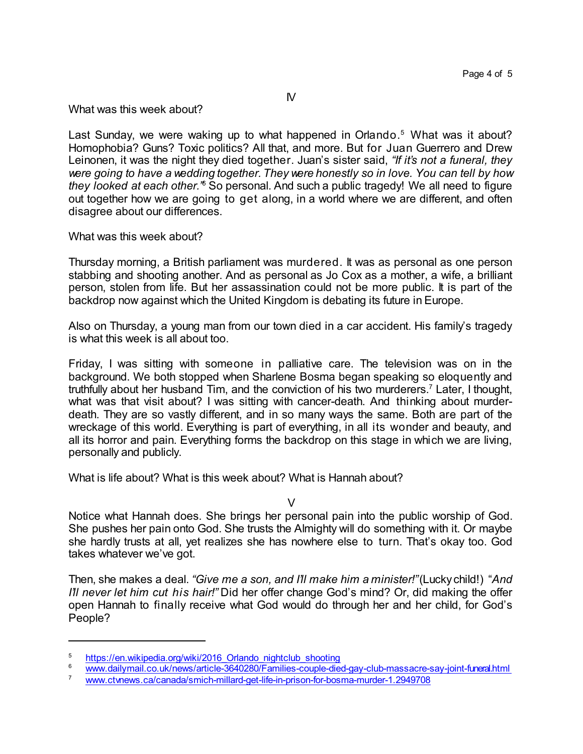What was this week about?

Last Sunday, we were waking up to what happened in Orlando. <sup>5</sup> What was it about? Homophobia? Guns? Toxic politics? All that, and more. But for Juan Guerrero and Drew Leinonen, it was the night they died together. Juan's sister said, *"If it's not a funeral, they were going to have a wedding together. They were honestly so in love. You can tell by how they looked at each other."* <sup>6</sup> So personal. And such a public tragedy! We all need to figure out together how we are going to get along, in a world where we are different, and often disagree about our differences.

## What was this week about?

Thursday morning, a British parliament was murdered. It was as personal as one person stabbing and shooting another. And as personal as Jo Cox as a mother, a wife, a brilliant person, stolen from life. But her assassination could not be more public. It is part of the backdrop now against which the United Kingdom is debating its future in Europe.

Also on Thursday, a young man from our town died in a car accident. His family's tragedy is what this week is all about too.

Friday, I was sitting with someone in palliative care. The television was on in the background. We both stopped when Sharlene Bosma began speaking so eloquently and truthfully about her husband Tim, and the conviction of his two murderers.<sup>7</sup> Later, I thought, what was that visit about? I was sitting with cancer-death. And thinking about murderdeath. They are so vastly different, and in so many ways the same. Both are part of the wreckage of this world. Everything is part of everything, in all its wonder and beauty, and all its horror and pain. Everything forms the backdrop on this stage in which we are living, personally and publicly.

What is life about? What is this week about? What is Hannah about?

 $\overline{V}$ 

Notice what Hannah does. She brings her personal pain into the public worship of God. She pushes her pain onto God. She trusts the Almighty will do something with it. Or maybe she hardly trusts at all, yet realizes she has nowhere else to turn. That's okay too. God takes whatever we've got.

Then, she makes a deal. *"Give me a son, and I'll make him a minister!"*(Luckychild!) "*And I'll never let him cut his hair!"* Did her offer change God's mind? Or, did making the offer open Hannah to finally receive what God would do through her and her child, for God's People?

<sup>&</sup>lt;sup>5</sup> [https://en.wikipedia.org/wiki/2016\\_Orlando\\_nightclub\\_shooting](https://en.wikipedia.org/wiki/2016_Orlando_nightclub_shooting)<br><sup>6</sup> www.doilymoil.co.uk/pown/orticle\_2640280/Eqmilies.couple.dig

<sup>6</sup> [www.dailymail.co.uk/news/article-3640280/Families-couple-died-gay-club-massacre-say-joint-funeral.html](http://www.dailymail.co.uk/news/article-3640280/Families-couple-died-gay-club-massacre-say-joint-funeral.html) 

[www.ctvnews.ca/canada/smich-millard-get-life-in-prison-for-bosma-murder-1.2949708](http://www.ctvnews.ca/canada/smich-millard-get-life-in-prison-for-bosma-murder-1.2949708)